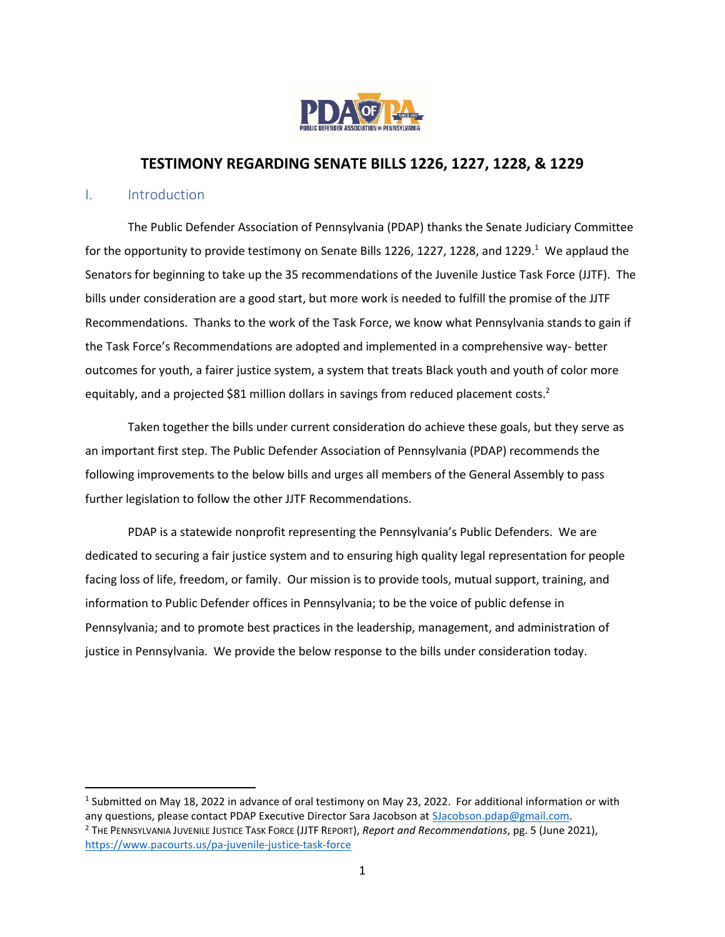

# **TESTIMONY REGARDING SENATE BILLS 1226, 1227, 1228, & 1229**

#### I. Introduction

The Public Defender Association of Pennsylvania (PDAP) thanks the Senate Judiciary Committee for the opportunity to provide testimony on Senate Bills 1226, 1227, 1228, and 1229.<sup>1</sup> We applaud the Senators for beginning to take up the 35 recommendations of the Juvenile Justice Task Force (JJTF). The bills under consideration are a good start, but more work is needed to fulfill the promise of the JJTF Recommendations. Thanks to the work of the Task Force, we know what Pennsylvania stands to gain if the Task Force's Recommendations are adopted and implemented in a comprehensive way- better outcomes for youth, a fairer justice system, a system that treats Black youth and youth of color more equitably, and a projected \$81 million dollars in savings from reduced placement costs.<sup>2</sup>

Taken together the bills under current consideration do achieve these goals, but they serve as an important first step. The Public Defender Association of Pennsylvania (PDAP) recommends the following improvements to the below bills and urges all members of the General Assembly to pass further legislation to follow the other JJTF Recommendations.

PDAP is a statewide nonprofit representing the Pennsylvania's Public Defenders. We are dedicated to securing a fair justice system and to ensuring high quality legal representation for people facing loss of life, freedom, or family. Our mission is to provide tools, mutual support, training, and information to Public Defender offices in Pennsylvania; to be the voice of public defense in Pennsylvania; and to promote best practices in the leadership, management, and administration of justice in Pennsylvania. We provide the below response to the bills under consideration today.

<sup>&</sup>lt;sup>1</sup> Submitted on May 18, 2022 in advance of oral testimony on May 23, 2022. For additional information or with any questions, please contact PDAP Executive Director Sara Jacobson at [SJacobson.pdap@gmail.com.](mailto:SJacobson.pdap@gmail.com)

<sup>2</sup> THE PENNSYLVANIA JUVENILE JUSTICE TASK FORCE (JJTF REPORT), *Report and Recommendations*, pg. 5 (June 2021), <https://www.pacourts.us/pa-juvenile-justice-task-force>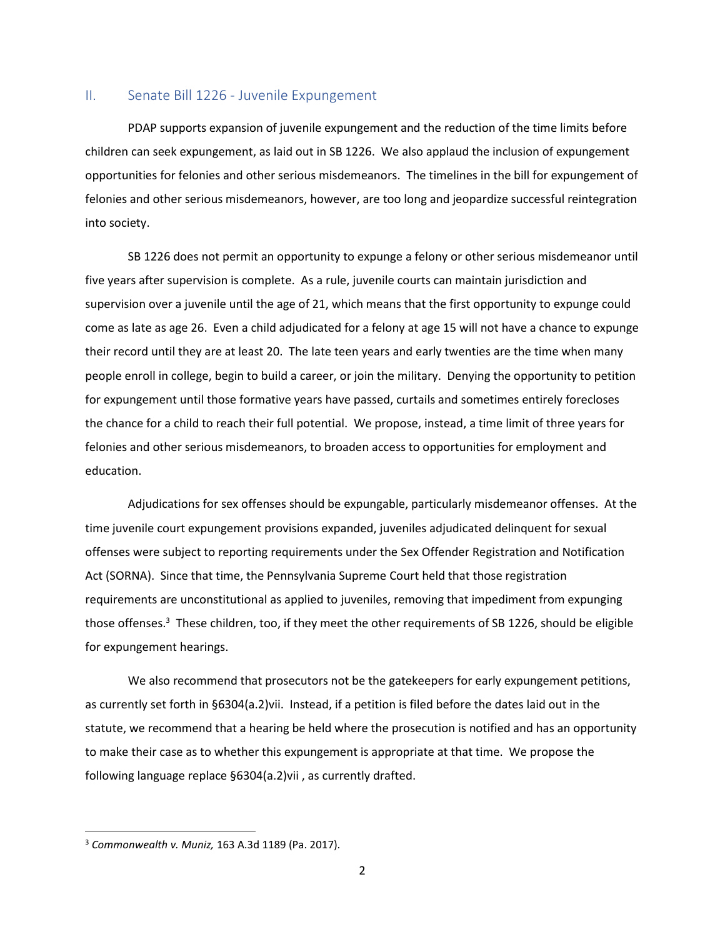### II. Senate Bill 1226 - Juvenile Expungement

PDAP supports expansion of juvenile expungement and the reduction of the time limits before children can seek expungement, as laid out in SB 1226. We also applaud the inclusion of expungement opportunities for felonies and other serious misdemeanors. The timelines in the bill for expungement of felonies and other serious misdemeanors, however, are too long and jeopardize successful reintegration into society.

SB 1226 does not permit an opportunity to expunge a felony or other serious misdemeanor until five years after supervision is complete. As a rule, juvenile courts can maintain jurisdiction and supervision over a juvenile until the age of 21, which means that the first opportunity to expunge could come as late as age 26. Even a child adjudicated for a felony at age 15 will not have a chance to expunge their record until they are at least 20. The late teen years and early twenties are the time when many people enroll in college, begin to build a career, or join the military. Denying the opportunity to petition for expungement until those formative years have passed, curtails and sometimes entirely forecloses the chance for a child to reach their full potential. We propose, instead, a time limit of three years for felonies and other serious misdemeanors, to broaden access to opportunities for employment and education.

Adjudications for sex offenses should be expungable, particularly misdemeanor offenses. At the time juvenile court expungement provisions expanded, juveniles adjudicated delinquent for sexual offenses were subject to reporting requirements under the Sex Offender Registration and Notification Act (SORNA). Since that time, the Pennsylvania Supreme Court held that those registration requirements are unconstitutional as applied to juveniles, removing that impediment from expunging those offenses. <sup>3</sup> These children, too, if they meet the other requirements of SB 1226, should be eligible for expungement hearings.

We also recommend that prosecutors not be the gatekeepers for early expungement petitions, as currently set forth in §6304(a.2)vii. Instead, if a petition is filed before the dates laid out in the statute, we recommend that a hearing be held where the prosecution is notified and has an opportunity to make their case as to whether this expungement is appropriate at that time. We propose the following language replace §6304(a.2)vii , as currently drafted.

<sup>3</sup> *Commonwealth v. Muniz,* 163 A.3d 1189 (Pa. 2017).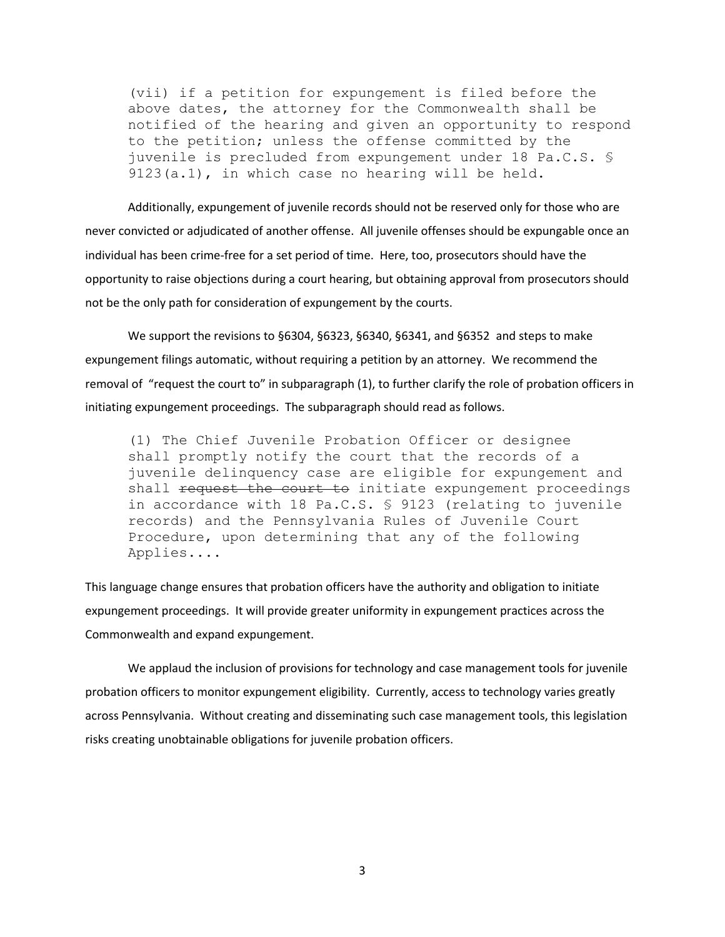(vii) if a petition for expungement is filed before the above dates, the attorney for the Commonwealth shall be notified of the hearing and given an opportunity to respond to the petition; unless the offense committed by the juvenile is precluded from expungement under 18 Pa.C.S. § 9123(a.1), in which case no hearing will be held.

Additionally, expungement of juvenile records should not be reserved only for those who are never convicted or adjudicated of another offense. All juvenile offenses should be expungable once an individual has been crime-free for a set period of time. Here, too, prosecutors should have the opportunity to raise objections during a court hearing, but obtaining approval from prosecutors should not be the only path for consideration of expungement by the courts.

We support the revisions to §6304, §6323, §6340, §6341, and §6352 and steps to make expungement filings automatic, without requiring a petition by an attorney. We recommend the removal of "request the court to" in subparagraph (1), to further clarify the role of probation officers in initiating expungement proceedings. The subparagraph should read as follows.

(1) The Chief Juvenile Probation Officer or designee shall promptly notify the court that the records of a juvenile delinquency case are eligible for expungement and shall request the court to initiate expungement proceedings in accordance with 18 Pa.C.S. § 9123 (relating to juvenile records) and the Pennsylvania Rules of Juvenile Court Procedure, upon determining that any of the following Applies....

This language change ensures that probation officers have the authority and obligation to initiate expungement proceedings. It will provide greater uniformity in expungement practices across the Commonwealth and expand expungement.

We applaud the inclusion of provisions for technology and case management tools for juvenile probation officers to monitor expungement eligibility. Currently, access to technology varies greatly across Pennsylvania. Without creating and disseminating such case management tools, this legislation risks creating unobtainable obligations for juvenile probation officers.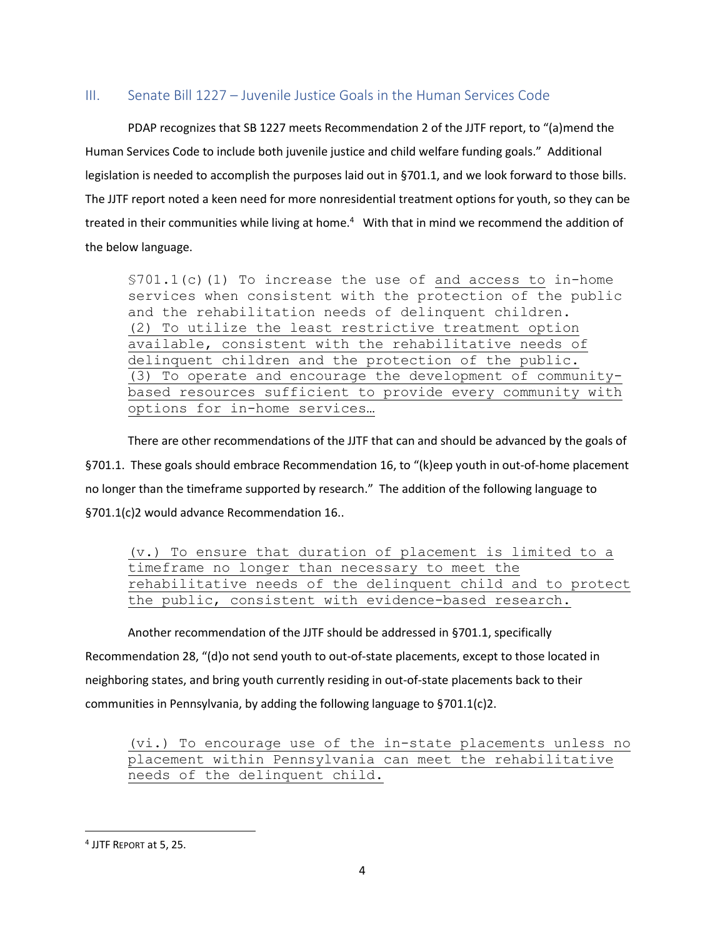# III. Senate Bill 1227 – Juvenile Justice Goals in the Human Services Code

PDAP recognizes that SB 1227 meets Recommendation 2 of the JJTF report, to "(a)mend the Human Services Code to include both juvenile justice and child welfare funding goals." Additional legislation is needed to accomplish the purposes laid out in §701.1, and we look forward to those bills. The JJTF report noted a keen need for more nonresidential treatment options for youth, so they can be treated in their communities while living at home.<sup>4</sup> With that in mind we recommend the addition of the below language.

§701.1(c)(1) To increase the use of and access to in-home services when consistent with the protection of the public and the rehabilitation needs of delinquent children. (2) To utilize the least restrictive treatment option available, consistent with the rehabilitative needs of delinquent children and the protection of the public. (3) To operate and encourage the development of communitybased resources sufficient to provide every community with options for in-home services…

There are other recommendations of the JJTF that can and should be advanced by the goals of §701.1. These goals should embrace Recommendation 16, to "(k)eep youth in out-of-home placement no longer than the timeframe supported by research." The addition of the following language to §701.1(c)2 would advance Recommendation 16..

(v.) To ensure that duration of placement is limited to a timeframe no longer than necessary to meet the rehabilitative needs of the delinquent child and to protect the public, consistent with evidence-based research.

Another recommendation of the JJTF should be addressed in §701.1, specifically Recommendation 28, "(d)o not send youth to out-of-state placements, except to those located in neighboring states, and bring youth currently residing in out-of-state placements back to their communities in Pennsylvania, by adding the following language to §701.1(c)2.

(vi.) To encourage use of the in-state placements unless no placement within Pennsylvania can meet the rehabilitative needs of the delinquent child.

<sup>4</sup> JJTF REPORT at 5, 25.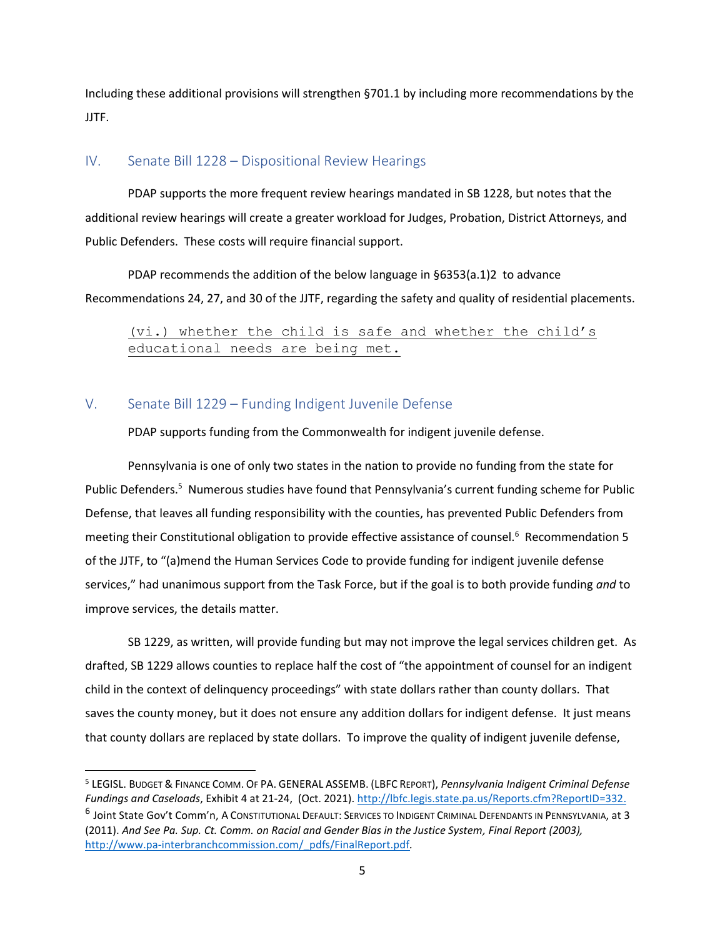Including these additional provisions will strengthen §701.1 by including more recommendations by the JJTF.

### IV. Senate Bill 1228 – Dispositional Review Hearings

PDAP supports the more frequent review hearings mandated in SB 1228, but notes that the additional review hearings will create a greater workload for Judges, Probation, District Attorneys, and Public Defenders. These costs will require financial support.

PDAP recommends the addition of the below language in §6353(a.1)2 to advance Recommendations 24, 27, and 30 of the JJTF, regarding the safety and quality of residential placements.

(vi.) whether the child is safe and whether the child's educational needs are being met.

## V. Senate Bill 1229 – Funding Indigent Juvenile Defense

PDAP supports funding from the Commonwealth for indigent juvenile defense.

Pennsylvania is one of only two states in the nation to provide no funding from the state for Public Defenders.<sup>5</sup> Numerous studies have found that Pennsylvania's current funding scheme for Public Defense, that leaves all funding responsibility with the counties, has prevented Public Defenders from meeting their Constitutional obligation to provide effective assistance of counsel.<sup>6</sup> Recommendation 5 of the JJTF, to "(a)mend the Human Services Code to provide funding for indigent juvenile defense services," had unanimous support from the Task Force, but if the goal is to both provide funding *and* to improve services, the details matter.

SB 1229, as written, will provide funding but may not improve the legal services children get. As drafted, SB 1229 allows counties to replace half the cost of "the appointment of counsel for an indigent child in the context of delinquency proceedings" with state dollars rather than county dollars. That saves the county money, but it does not ensure any addition dollars for indigent defense. It just means that county dollars are replaced by state dollars. To improve the quality of indigent juvenile defense,

<sup>5</sup> LEGISL. BUDGET & FINANCE COMM. OF PA. GENERAL ASSEMB. (LBFC REPORT), *Pennsylvania Indigent Criminal Defense Fundings and Caseloads*, Exhibit 4 at 21-24, (Oct. 2021). [http://lbfc.legis.state.pa.us/Reports.cfm?ReportID=332.](http://lbfc.legis.state.pa.us/Reports.cfm?ReportID=332) <sup>6</sup> Joint State Gov't Comm'n, A Constitutional Default: Services to Indigent Criminal Defendants in Pennsylvania, at 3 (2011). *And See Pa. Sup. Ct. Comm. on Racial and Gender Bias in the Justice System, Final Report (2003),*  [http://www.pa-interbranchcommission.com/\\_pdfs/FinalReport.pdf](http://www.pa-interbranchcommission.com/_pdfs/FinalReport.pdf)*.*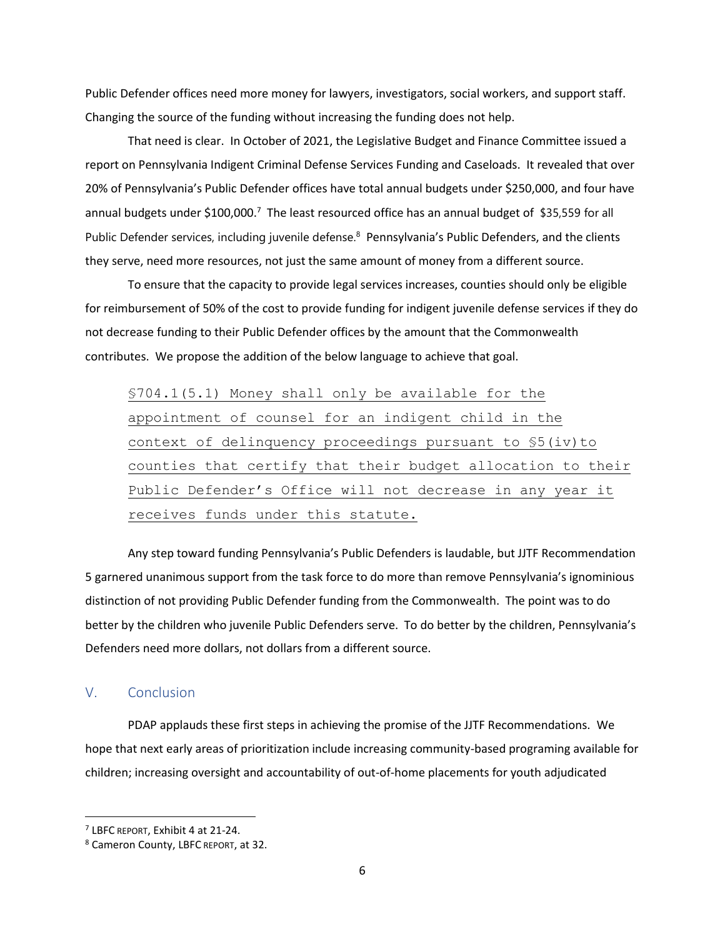Public Defender offices need more money for lawyers, investigators, social workers, and support staff. Changing the source of the funding without increasing the funding does not help.

That need is clear. In October of 2021, the Legislative Budget and Finance Committee issued a report on Pennsylvania Indigent Criminal Defense Services Funding and Caseloads. It revealed that over 20% of Pennsylvania's Public Defender offices have total annual budgets under \$250,000, and four have annual budgets under \$100,000.<sup>7</sup> The least resourced office has an annual budget of \$35,559 for all Public Defender services, including juvenile defense.<sup>8</sup> Pennsylvania's Public Defenders, and the clients they serve, need more resources, not just the same amount of money from a different source.

To ensure that the capacity to provide legal services increases, counties should only be eligible for reimbursement of 50% of the cost to provide funding for indigent juvenile defense services if they do not decrease funding to their Public Defender offices by the amount that the Commonwealth contributes. We propose the addition of the below language to achieve that goal.

§704.1(5.1) Money shall only be available for the appointment of counsel for an indigent child in the context of delinquency proceedings pursuant to §5(iv)to counties that certify that their budget allocation to their Public Defender's Office will not decrease in any year it receives funds under this statute.

Any step toward funding Pennsylvania's Public Defenders is laudable, but JJTF Recommendation 5 garnered unanimous support from the task force to do more than remove Pennsylvania's ignominious distinction of not providing Public Defender funding from the Commonwealth. The point was to do better by the children who juvenile Public Defenders serve. To do better by the children, Pennsylvania's Defenders need more dollars, not dollars from a different source.

#### V. Conclusion

PDAP applauds these first steps in achieving the promise of the JJTF Recommendations. We hope that next early areas of prioritization include increasing community-based programing available for children; increasing oversight and accountability of out-of-home placements for youth adjudicated

<sup>7</sup> LBFC REPORT, Exhibit 4 at 21-24.

<sup>8</sup> Cameron County, LBFC REPORT, at 32.